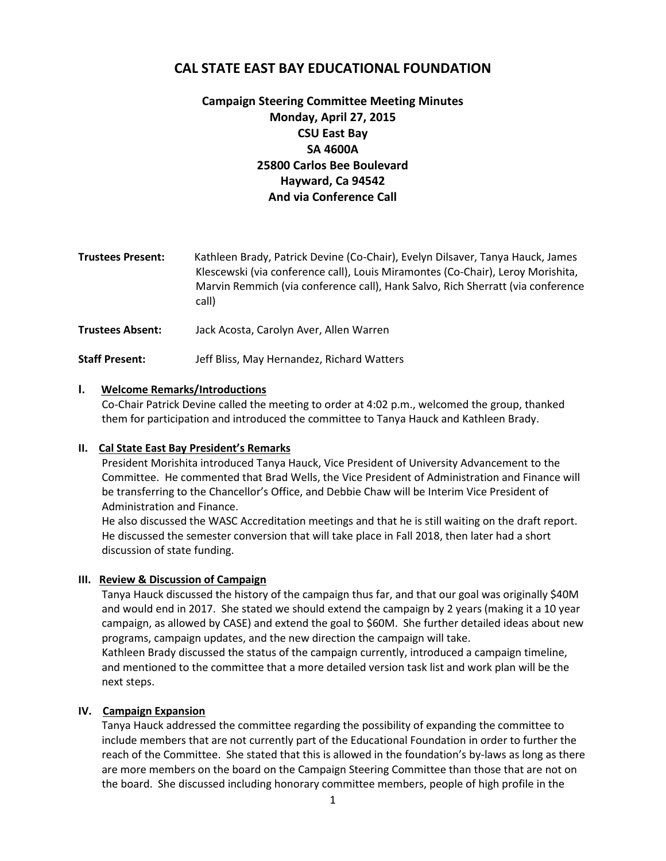# **CAL STATE EAST BAY EDUCATIONAL FOUNDATION**

# **Campaign Steering Committee Meeting Minutes Monday, April 27, 2015 CSU East Bay SA 4600A 25800 Carlos Bee Boulevard Hayward, Ca 94542 And via Conference Call**

| <b>Trustees Present:</b> | Kathleen Brady, Patrick Devine (Co-Chair), Evelyn Dilsaver, Tanya Hauck, James<br>Klescewski (via conference call), Louis Miramontes (Co-Chair), Leroy Morishita,<br>Marvin Remmich (via conference call), Hank Salvo, Rich Sherratt (via conference<br>call) |
|--------------------------|---------------------------------------------------------------------------------------------------------------------------------------------------------------------------------------------------------------------------------------------------------------|
| <b>Trustees Absent:</b>  | Jack Acosta, Carolyn Aver, Allen Warren                                                                                                                                                                                                                       |
| <b>Staff Present:</b>    | Jeff Bliss, May Hernandez, Richard Watters                                                                                                                                                                                                                    |

#### **I. Welcome Remarks/Introductions**

Co-Chair Patrick Devine called the meeting to order at 4:02 p.m., welcomed the group, thanked them for participation and introduced the committee to Tanya Hauck and Kathleen Brady.

#### **II. Cal State East Bay President's Remarks**

President Morishita introduced Tanya Hauck, Vice President of University Advancement to the Committee. He commented that Brad Wells, the Vice President of Administration and Finance will be transferring to the Chancellor's Office, and Debbie Chaw will be Interim Vice President of Administration and Finance.

He also discussed the WASC Accreditation meetings and that he is still waiting on the draft report. He discussed the semester conversion that will take place in Fall 2018, then later had a short discussion of state funding.

### **III. Review & Discussion of Campaign**

Tanya Hauck discussed the history of the campaign thus far, and that our goal was originally \$40M and would end in 2017. She stated we should extend the campaign by 2 years (making it a 10 year campaign, as allowed by CASE) and extend the goal to \$60M. She further detailed ideas about new programs, campaign updates, and the new direction the campaign will take.

Kathleen Brady discussed the status of the campaign currently, introduced a campaign timeline, and mentioned to the committee that a more detailed version task list and work plan will be the next steps.

### **IV. Campaign Expansion**

Tanya Hauck addressed the committee regarding the possibility of expanding the committee to include members that are not currently part of the Educational Foundation in order to further the reach of the Committee. She stated that this is allowed in the foundation's by-laws as long as there are more members on the board on the Campaign Steering Committee than those that are not on the board. She discussed including honorary committee members, people of high profile in the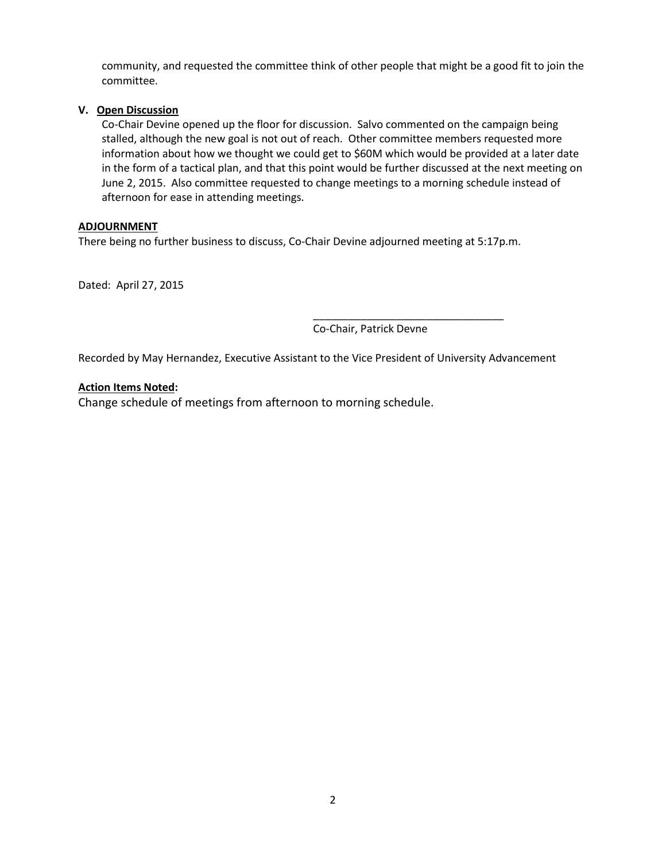community, and requested the committee think of other people that might be a good fit to join the committee.

## **V. Open Discussion**

Co-Chair Devine opened up the floor for discussion. Salvo commented on the campaign being stalled, although the new goal is not out of reach. Other committee members requested more information about how we thought we could get to \$60M which would be provided at a later date in the form of a tactical plan, and that this point would be further discussed at the next meeting on June 2, 2015. Also committee requested to change meetings to a morning schedule instead of afternoon for ease in attending meetings.

## **ADJOURNMENT**

There being no further business to discuss, Co-Chair Devine adjourned meeting at 5:17p.m.

Dated: April 27, 2015

\_\_\_\_\_\_\_\_\_\_\_\_\_\_\_\_\_\_\_\_\_\_\_\_\_\_\_\_\_\_\_\_ Co-Chair, Patrick Devne

Recorded by May Hernandez, Executive Assistant to the Vice President of University Advancement

### **Action Items Noted:**

Change schedule of meetings from afternoon to morning schedule.